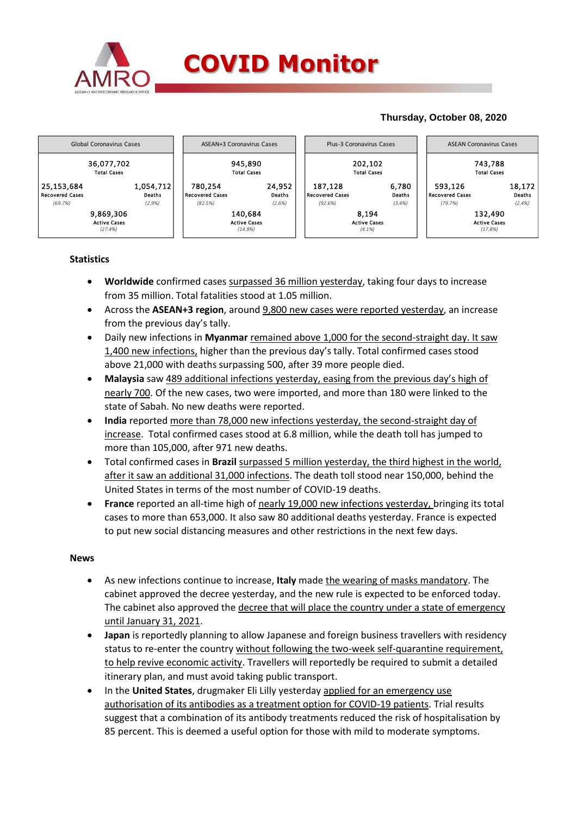

## **Thursday, October 08, 2020**



## **Statistics**

- **Worldwide** confirmed cases surpassed 36 million yesterday, taking four days to increase from 35 million. Total fatalities stood at 1.05 million.
- Across the **ASEAN+3 region**, around 9,800 new cases were reported yesterday, an increase from the previous day's tally.
- Daily new infections in **Myanmar** remained above 1,000 for the second-straight day. It saw 1,400 new infections, higher than the previous day's tally. Total confirmed cases stood above 21,000 with deaths surpassing 500, after 39 more people died.
- **Malaysia** saw 489 additional infections yesterday, easing from the previous day's high of nearly 700. Of the new cases, two were imported, and more than 180 were linked to the state of Sabah. No new deaths were reported.
- **India** reported more than 78,000 new infections yesterday, the second-straight day of increase. Total confirmed cases stood at 6.8 million, while the death toll has jumped to more than 105,000, after 971 new deaths.
- Total confirmed cases in **Brazil** surpassed 5 million yesterday, the third highest in the world, after it saw an additional 31,000 infections. The death toll stood near 150,000, behind the United States in terms of the most number of COVID-19 deaths.
- **France** reported an all-time high of nearly 19,000 new infections yesterday, bringing its total cases to more than 653,000. It also saw 80 additional deaths yesterday. France is expected to put new social distancing measures and other restrictions in the next few days.

## **News**

- As new infections continue to increase, **Italy** made the wearing of masks mandatory. The cabinet approved the decree yesterday, and the new rule is expected to be enforced today. The cabinet also approved the decree that will place the country under a state of emergency until January 31, 2021.
- **Japan** is reportedly planning to allow Japanese and foreign business travellers with residency status to re-enter the country without following the two-week self-quarantine requirement, to help revive economic activity. Travellers will reportedly be required to submit a detailed itinerary plan, and must avoid taking public transport.
- In the **United States**, drugmaker Eli Lilly yesterday applied for an emergency use authorisation of its antibodies as a treatment option for COVID-19 patients. Trial results suggest that a combination of its antibody treatments reduced the risk of hospitalisation by 85 percent. This is deemed a useful option for those with mild to moderate symptoms.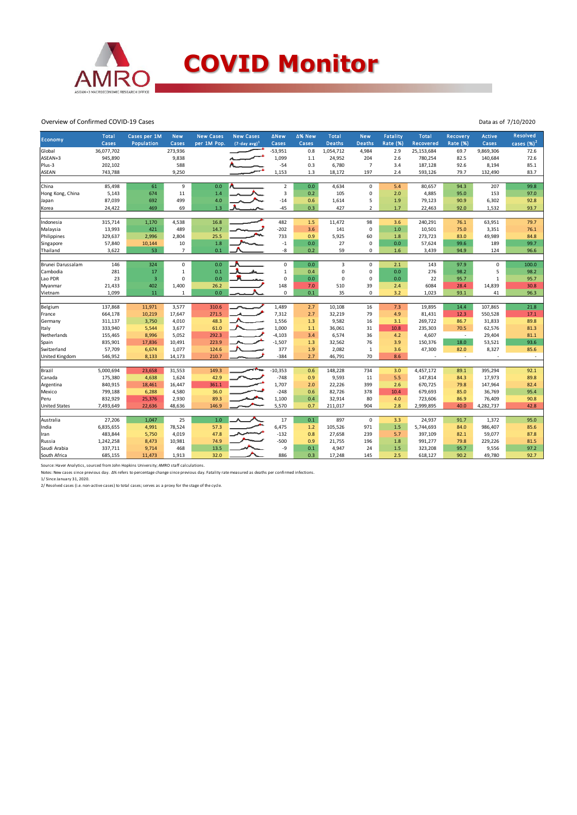

Overview of Confirmed COVID-19 Cases

| Economy              | <b>Total</b><br>Cases | Cases per 1M<br>Population | <b>New</b><br>Cases | <b>New Cases</b><br>per 1M Pop. | <b>New Cases</b><br>$(7$ -day avg) <sup>1</sup> | <b>ANew</b><br>Cases | ∆% New<br>Cases | <b>Total</b><br><b>Deaths</b> | <b>New</b><br><b>Deaths</b> | <b>Fatality</b><br><b>Rate (%)</b> | <b>Total</b><br>Recovered | <b>Recovery</b><br><b>Rate (%)</b> | <b>Active</b><br>Cases | Resolved<br>cases (%) <sup>2</sup> |
|----------------------|-----------------------|----------------------------|---------------------|---------------------------------|-------------------------------------------------|----------------------|-----------------|-------------------------------|-----------------------------|------------------------------------|---------------------------|------------------------------------|------------------------|------------------------------------|
| Global               | 36,077,702            |                            | 273,936             |                                 |                                                 | $-53,951$            | 0.8             | 1,054,712                     | 4,984                       | 2.9                                | 25,153,684                | 69.7                               | 9,869,306              | 72.6                               |
| ASEAN+3              | 945,890               |                            | 9,838               |                                 |                                                 | 1,099                | 1.1             | 24,952                        | 204                         | 2.6                                | 780,254                   | 82.5                               | 140,684                | 72.6                               |
| Plus-3               | 202,102               |                            | 588                 |                                 |                                                 | $-54$                | 0.3             | 6,780                         | $\overline{7}$              | 3.4                                | 187,128                   | 92.6                               | 8,194                  | 85.1                               |
| ASEAN                | 743,788               |                            | 9,250               |                                 |                                                 | 1,153                | 1.3             | 18,172                        | 197                         | 2.4                                | 593,126                   | 79.7                               | 132,490                | 83.7                               |
|                      |                       |                            |                     |                                 |                                                 |                      |                 |                               |                             |                                    |                           |                                    |                        |                                    |
| China                | 85,498                | 61                         | 9                   | 0.0                             |                                                 | $\sqrt{2}$           | 0.0             | 4,634                         | $\mathbf 0$                 | 5.4                                | 80,657                    | 94.3                               | 207                    | 99.8                               |
| Hong Kong, China     | 5,143                 | 674                        | 11                  | 1.4                             |                                                 | 3                    | 0.2             | 105                           | $\mathbf 0$                 | 2.0                                | 4,885                     | 95.0                               | 153                    | 97.0                               |
| Japan                | 87,039                | 692                        | 499                 | 4.0                             |                                                 | $-14$                | 0.6             | 1,614                         | 5                           | 1.9                                | 79,123                    | 90.9                               | 6,302                  | 92.8                               |
| Korea                | 24,422                | 469                        | 69                  | 1.3                             |                                                 | $-45$                | 0.3             | 427                           | $\overline{2}$              | 1.7                                | 22,463                    | 92.0                               | 1,532                  | 93.7                               |
|                      |                       |                            |                     |                                 |                                                 |                      |                 |                               |                             |                                    |                           |                                    |                        |                                    |
| Indonesia            | 315,714               | 1,170                      | 4,538               | 16.8                            |                                                 | 482                  | 1.5             | 11,472                        | 98                          | 3.6                                | 240,291                   | 76.1                               | 63,951                 | 79.7                               |
| Malaysia             | 13,993                | 421                        | 489                 | 14.7                            |                                                 | $-202$               | 3.6             | 141                           | $\mathbf 0$                 | 1.0                                | 10,501                    | 75.0                               | 3,351                  | 76.1                               |
| Philippines          | 329,637               | 2,996                      | 2,804               | 25.5                            |                                                 | 733                  | 0.9             | 5,925                         | 60                          | 1.8                                | 273,723                   | 83.0                               | 49,989                 | 84.8                               |
| Singapore            | 57,840                | 10,144                     | 10                  | 1.8                             |                                                 | $-1$                 | $0.0\,$         | 27                            | $\mathbf 0$                 | 0.0                                | 57,624                    | 99.6                               | 189                    | 99.7                               |
| Thailand             | 3,622                 | 53                         | $\overline{7}$      | 0.1                             |                                                 | -8                   | 0.2             | 59                            | $\mathbf 0$                 | 1.6                                | 3,439                     | 94.9                               | 124                    | 96.6                               |
|                      |                       |                            |                     |                                 |                                                 |                      |                 |                               |                             |                                    |                           |                                    |                        |                                    |
| Brunei Darussalam    | 146                   | 324                        | $\mathbf 0$         | 0.0                             |                                                 | $\mathsf 0$          | 0.0             | 3                             | $\mathbf 0$                 | 2.1                                | 143                       | 97.9                               | $\mathbf 0$            | 100.0                              |
| Cambodia             | 281                   | 17                         | 1                   | 0.1                             |                                                 | $\mathbf 1$          | 0.4             | $\mathbf 0$                   | $\mathsf 0$                 | 0.0                                | 276                       | 98.2                               | 5                      | 98.2                               |
| Lao PDR              | 23                    | $\overline{3}$             | 0                   | 0.0                             |                                                 | $\pmb{0}$            | 0.0             | $\mathbf 0$                   | $\mathbf 0$                 | 0.0                                | 22                        | 95.7                               | $\mathbf 1$            | 95.7                               |
| Myanmar              | 21,433                | 402                        | 1,400               | 26.2                            |                                                 | 148                  | 7.0             | 510                           | 39                          | 2.4                                | 6084                      | 28.4                               | 14,839                 | 30.8                               |
| Vietnam              | 1,099                 | 11                         | $\mathbf{1}$        | 0.0                             |                                                 | $\mathbf 0$          | 0.1             | 35                            | $\mathbf 0$                 | 3.2                                | 1,023                     | 93.1                               | 41                     | 96.3                               |
|                      | 137,868               | 11,971                     | 3,577               | 310.6                           |                                                 | 1,489                | 2.7             | 10,108                        | 16                          | 7.3                                | 19,895                    | 14.4                               | 107,865                | 21.8                               |
| Belgium<br>France    | 664,178               | 10,219                     | 17,647              | 271.5                           |                                                 | 7,312                | 2.7             | 32,219                        | 79                          | 4.9                                | 81,431                    | 12.3                               | 550,528                | 17.1                               |
|                      | 311,137               |                            | 4,010               | 48.3                            |                                                 | 1,556                | 1.3             | 9,582                         | 16                          | 3.1                                | 269,722                   | 86.7                               | 31,833                 | 89.8                               |
| Germany              |                       | 3,750                      |                     |                                 |                                                 | 1,000                |                 |                               | 31                          | 10.8                               |                           |                                    | 62,576                 |                                    |
| Italy                | 333,940               | 5,544                      | 3,677<br>5,052      | 61.0<br>292.3                   |                                                 | $-4,103$             | 1.1             | 36,061<br>6,574               | 36                          |                                    | 235,303<br>4,607          | 70.5                               | 29,404                 | 81.3<br>81.1                       |
| Netherlands          | 155,465               | 8,996                      |                     |                                 |                                                 |                      | 3.4             |                               |                             | 4.2                                |                           | $\sim$                             |                        |                                    |
| Spain                | 835,901               | 17,836                     | 10,491              | 223.9                           |                                                 | $-1,507$             | 1.3             | 32,562                        | 76                          | 3.9                                | 150,376                   | 18.0                               | 53,521                 | 93.6                               |
| Switzerland          | 57,709                | 6,674                      | 1,077               | 124.6                           |                                                 | 377                  | 1.9             | 2,082                         | $\mathbf 1$                 | 3.6                                | 47,300                    | 82.0                               | 8,327                  | 85.6                               |
| United Kingdom       | 546,952               | 8,133                      | 14,173              | 210.7                           |                                                 | $-384$               | 2.7             | 46,791                        | 70                          | 8.6                                |                           | $\sim$                             |                        | $\overline{\phantom{a}}$           |
| Brazil               | 5,000,694             | 23,658                     | 31,553              | 149.3                           |                                                 | $-10,353$            | 0.6             | 148,228                       | 734                         | 3.0                                | 4,457,172                 | 89.1                               | 395,294                | 92.1                               |
| Canada               | 175,380               | 4,638                      | 1,624               | 42.9                            |                                                 | $-748$               | 0.9             | 9,593                         | 11                          | 5.5                                | 147,814                   | 84.3                               | 17,973                 | 89.8                               |
| Argentina            | 840,915               | 18,461                     | 16,447              | 361.1                           |                                                 | 1,707                | 2.0             | 22,226                        | 399                         | 2.6                                | 670,725                   | 79.8                               | 147,964                | 82.4                               |
| Mexico               | 799,188               | 6,288                      | 4,580               | 36.0                            |                                                 | $-248$               | 0.6             | 82,726                        | 378                         | 10.4                               | 679,693                   | 85.0                               | 36,769                 | 95.4                               |
| Peru                 | 832,929               | 25,376                     | 2,930               | 89.3                            |                                                 | 1,100                | 0.4             | 32,914                        | 80                          | 4.0                                | 723,606                   | 86.9                               | 76,409                 | 90.8                               |
| <b>United States</b> | 7,493,649             | 22,636                     | 48,636              | 146.9                           |                                                 | 5,570                | 0.7             | 211,017                       | 904                         | 2.8                                | 2,999,895                 | 40.0                               | 4,282,737              | 42.8                               |
|                      |                       |                            |                     |                                 |                                                 |                      |                 |                               |                             |                                    |                           |                                    |                        |                                    |
| Australia            | 27,206                | 1,047                      | 25                  | 1.0                             |                                                 | 17                   | 0.1             | 897                           | $\mathsf 0$                 | 3.3                                | 24,937                    | 91.7                               | 1,372                  | 95.0                               |
| India                | 6,835,655             | 4,991                      | 78,524              | 57.3                            |                                                 | 6,475                | 1.2             | 105,526                       | 971                         | 1.5                                | 5,744,693                 | 84.0                               | 986,407                | 85.6                               |
| Iran                 | 483,844               | 5,750                      | 4,019               | 47.8                            |                                                 | $-132$               | 0.8             | 27,658                        | 239                         | 5.7                                | 397,109                   | 82.1                               | 59,077                 | 87.8                               |
| Russia               | 1,242,258             | 8,473                      | 10,981              | 74.9                            |                                                 | $-500$               | 0.9             | 21,755                        | 196                         | 1.8                                | 991,277                   | 79.8                               | 229,226                | 81.5                               |
| Saudi Arabia         | 337,711               | 9,714                      | 468                 | 13.5                            |                                                 | -9                   | 0.1             | 4,947                         | 24                          | 1.5                                | 323,208                   | 95.7                               | 9,556                  | 97.2                               |
| South Africa         | 685,155               | 11,473                     | 1,913               | 32.0                            |                                                 | 886                  | 0.3             | 17,248                        | 145                         | 2.5                                | 618,127                   | 90.2                               | 49,780                 | 92.7                               |
|                      |                       |                            |                     |                                 |                                                 |                      |                 |                               |                             |                                    |                           |                                    |                        |                                    |

Source: Haver Analytics, sourced from John Hopkins University; AMRO staff calculations.<br>Notes: New cases since previous day. Δ% refers to percentage change since previous day. Fatality rate measured as deaths per confirmed

Data as of 7/10/2020